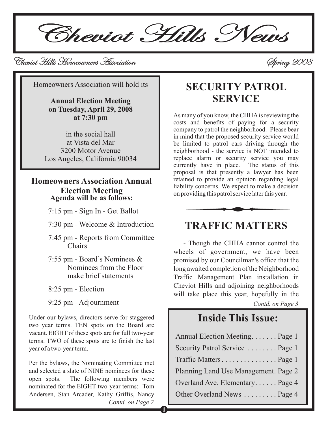**1**

Solution Hills Homeowners Association Cheviot Hills Homeowners Association Cheviot Hills Homeowners Spring 2008 Spring 2008

Homeowners Association will hold its

**Annual Election Meeting on Tuesday, April 29, 2008 at 7:30 pm**

in the social hall at Vista del Mar 3200 Motor Avenue Los Angeles, California 90034

# **Homeowners Association Annual Election Meeting Agenda will be as follows:**

7:15 pm - Sign In - Get Ballot

- 7:30 pm Welcome & Introduction
- 7:45 pm Reports from Committee Chairs
- 7:55 pm Board's Nominees & Nominees from the Floor make brief statements
- 8:25 pm Election
- 9:25 pm Adjournment

Under our bylaws, directors serve for staggered two year terms. TEN spots on the Board are vacant. EIGHT of these spots are for full two-year terms. TWO of these spots are to finish the last year of a two-year term.

Per the bylaws, the Nominating Committee met and selected a slate of NINE nominees for these open spots. The following members were nominated for the EIGHT two-year terms: Tom Andersen, Stan Arcader, Kathy Griffis, Nancy *Contd. on Page 2*

# **SECURITY PATROL SERVICE**

As many of you know, the CHHAis reviewing the costs and benefits of paying for a security company to patrol the neighborhood. Please bear in mind that the proposed security service would be limited to patrol cars driving through the neighborhood - the service is NOT intended to replace alarm or security service you may currently have in place. The status of this currently have in place. proposal is that presently a lawyer has been retained to provide an opinion regarding legal liability concerns. We expect to make a decision on providing this patrol service later this year.



## **TRAFFIC MATTERS**

- Though the CHHA cannot control the wheels of government, we have been promised by our Councilman's office that the long awaited completion of the Neighborhood Traffic Management Plan installation in Cheviot Hills and adjoining neighborhoods will take place this year, hopefully in the

*Contd. on Page 3*

### **Inside This Issue:**

| Annual Election Meeting Page 1       |
|--------------------------------------|
| Security Patrol Service  Page 1      |
| Traffic MattersPage 1                |
| Planning Land Use Management. Page 2 |
| Overland Ave. Elementary Page 4      |
| Other Overland News  Page 4          |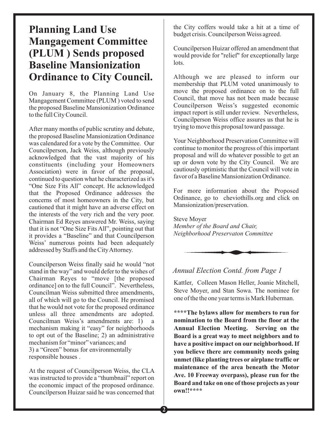# **Planning Land Use Mangagement Committee (PLUM ) Sends proposed Baseline Mansionization Ordinance to City Council.**

On January 8, the Planning Land Use Mangagement Committee (PLUM ) voted to send the proposed Baseline Mansionization Ordinance to the full City Council.

After many months of public scrutiny and debate, the proposed Baseline Mansionization Ordinance was calendared for a vote by the Committee. Our Councilperson, Jack Weiss, although previously acknowledged that the vast majority of his constituents (including your Homeowners Association) were in favor of the proposal, continued to question what he characterized as it's "One Size Fits All" concept. He acknowledged that the Proposed Ordinance addresses the concerns of most homeowners in the City, but cautioned that it might have an adverse effect on the interests of the very rich and the very poor. Chairman Ed Reyes answered Mr. Weiss, saying that it is not "One Size Fits All", pointing out that it provides a "Baseline" and that Councilperson Weiss' numerous points had been adequately addressed by Staffs and the CityAttorney.

Councilperson Weiss finally said he would "not stand in the way" and would defer to the wishes of Chairman Reyes to "move [the proposed ordinance] on to the full Council". Nevertheless, Councilman Weiss submitted three amendments, all of which will go to the Council. He promised that he would not vote for the proposed ordinance unless all three amendments are adopted. Councilman Weiss's amendments are: 1) a mechanism making it "easy" for neighborhoods to opt out of the Baseline; 2) an administrative mechanism for "minor" variances; and 3) a "Green" bonus for environmentally responsible houses .

At the request of Councilperson Weiss, the CLA was instructed to provide a "thumbnail" report on the economic impact of the proposed ordinance. Councilperson Huizar said he was concerned that

the City coffers would take a hit at a time of budget crisis. Councilperson Weiss agreed.

Councilperson Huizar offered an amendment that would provide for "relief" for exceptionally large lots.

Although we are pleased to inform our membership that PLUM voted unanimously to move the proposed ordinance on to the full Council, that move has not been made because Councilperson Weiss's suggested economic impact report is still under review. Nevertheless, Councilperson Weiss office assures us that he is trying to move this proposal toward passage.

Your Neighborhood Preservation Committee will continue to monitor the progress of this important proposal and will do whatever possible to get an up or down vote by the City Council. We are cautiously optimistic that the Council will vote in favor of a Baseline Mansionization Ordinance.

For more information about the Proposed Ordinance, go to cheviothills.org and click on Mansionization/preservation.

Steve Moyer *Member of the Board and Chair, Neighborhood Preservaton Committee*



#### *Annual Election Contd. from Page 1*

Kattler, Colleen Mason Heller, Joanie Mitchell, Steve Moyer, and Stan Sowa. The nominee for one of the the one year terms is Mark Huberman.

**\*\*\*\*The bylaws allow for members to run for nomination to the Board from the floor at the Annual Election Meeting. Serving on the Board is a great way to meet neighbors and to have a positive impact on our neighborhood. If you believe there are community needs going unmet (like planting trees or airplane traffic or maintenance of the area beneath the Motor Ave. 10 Freeway overpass), please run for the Board and take on one of those projects as your own!!\*\*\*\***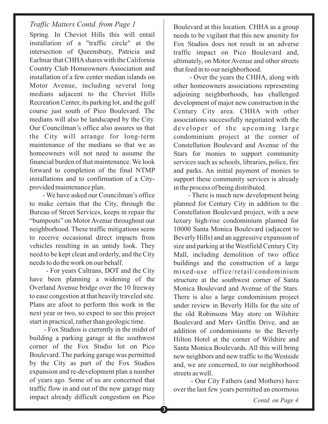#### *Contd. on Page 4*

### *Traffic Matters Contd. from Page 1* Boulevard at this location. CHHA as a group

Spring. In Cheviot Hills this will entail installation of a "traffic circle" at the intersection of Queensbury, Patricia and Earlmar that CHHAshares with the California Country Club Homeowners Association and installation of a few center median islands on Motor Avenue, including several long medians adjacent to the Cheviot Hills Recreation Center, its parking lot, and the golf course just south of Pico Boulevard. The medians will also be landscaped by the City. Our Councilman's office also assures us that the City will arrange for long-term maintenance of the medians so that we as homeowners will not need to assume the financial burden of that maintenance. We look forward to completion of the final NTMP installations and to confirmation of a Cityprovided maintenance plan.

- We have asked our Councilman's office to make certain that the City, through the Bureau of Street Services, keeps in repair the "bumpouts" on Motor Avenue throughout our neighborhood. These traffic mitigations seem to receive occasional direct impacts from vehicles resulting in an untidy look. They need to be kept clean and orderly, and the City needs to do the work on our behalf.

- For years Caltrans, DOT and the City have been planning a widening of the Overland Avenue bridge over the 10 freeway to ease congestion at that heavily traveled site. Plans are afoot to perform this work in the next year or two, so expect to see this project start in practical, rather than geologic time.

- Fox Studios is currently in the midst of building a parking garage at the southwest corner of the Fox Studio lot on Pico Boulevard. The parking garage was permitted by the City as part of the Fox Studios expansion and re-development plan a number of years ago. Some of us are concerned that traffic flow in and out of the new garage may impact already difficult congestion on Pico

needs to be vigilant that this new amenity for Fox Studios does not result in an adverse traffic impact on Pico Boulevard and, ultimately, on Motor Avenue and other streets that feed in to our neighborhood.

- Over the years the CHHA, along with other homeowners associations representing adjoining neighborhoods, has challenged development of major new construction in the Century City area. CHHA with other associations successfully negotiated with the developer of the upcoming large condominium project at the corner of Constellation Boulevard and Avenue of the Stars for monies to support community services such as schools, libraries, police, fire and parks. An initial payment of monies to support these community services is already in the process of being distributed.

- There is much new development being planned for Century City in addition to the Constellation Boulevard project, with a new luxury high-rise condominium planned for 10000 Santa Monica Boulevard (adjacent to Beverly Hills) and an aggressive expansion of size and parking at the Westfield Century City Mall, including demolition of two office buildings and the construction of a large mixed-use office/retail/condominium structure at the southwest corner of Santa Monica Boulevard and Avenue of the Stars. There is also a large condominium project under review in Beverly Hills for the site of the old Robinsons May store on Wilshire Boulevard and Merv Griffin Drive, and an addition of condominiums to the Beverly Hilton Hotel at the corner of Wilshire and Santa Monica Boulevards. All this will bring new neighbors and new traffic to the Westside and, we are concerned, to our neighborhood streets as well.

- Our City Fathers (and Mothers) have over the last few years permitted an enormous